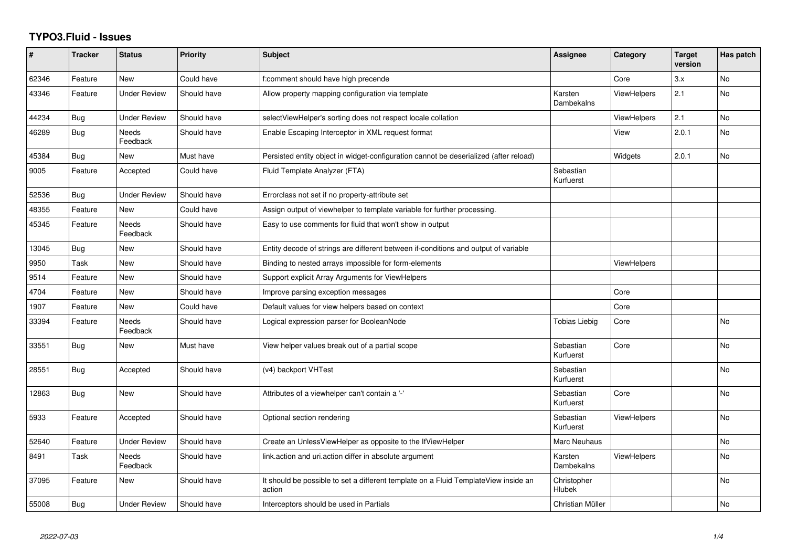## **TYPO3.Fluid - Issues**

| #     | <b>Tracker</b> | <b>Status</b>       | <b>Priority</b> | <b>Subject</b>                                                                                | <b>Assignee</b>        | Category           | <b>Target</b><br>version | Has patch      |
|-------|----------------|---------------------|-----------------|-----------------------------------------------------------------------------------------------|------------------------|--------------------|--------------------------|----------------|
| 62346 | Feature        | <b>New</b>          | Could have      | f:comment should have high precende                                                           |                        | Core               | 3.x                      | No             |
| 43346 | Feature        | <b>Under Review</b> | Should have     | Allow property mapping configuration via template                                             | Karsten<br>Dambekalns  | <b>ViewHelpers</b> | 2.1                      | N <sub>o</sub> |
| 44234 | Bug            | Under Review        | Should have     | selectViewHelper's sorting does not respect locale collation                                  |                        | <b>ViewHelpers</b> | 2.1                      | No             |
| 46289 | Bug            | Needs<br>Feedback   | Should have     | Enable Escaping Interceptor in XML request format                                             |                        | View               | 2.0.1                    | No             |
| 45384 | Bug            | New                 | Must have       | Persisted entity object in widget-configuration cannot be deserialized (after reload)         |                        | Widgets            | 2.0.1                    | No             |
| 9005  | Feature        | Accepted            | Could have      | Fluid Template Analyzer (FTA)                                                                 | Sebastian<br>Kurfuerst |                    |                          |                |
| 52536 | Bug            | <b>Under Review</b> | Should have     | Errorclass not set if no property-attribute set                                               |                        |                    |                          |                |
| 48355 | Feature        | New                 | Could have      | Assign output of viewhelper to template variable for further processing.                      |                        |                    |                          |                |
| 45345 | Feature        | Needs<br>Feedback   | Should have     | Easy to use comments for fluid that won't show in output                                      |                        |                    |                          |                |
| 13045 | Bug            | <b>New</b>          | Should have     | Entity decode of strings are different between if-conditions and output of variable           |                        |                    |                          |                |
| 9950  | Task           | <b>New</b>          | Should have     | Binding to nested arrays impossible for form-elements                                         |                        | <b>ViewHelpers</b> |                          |                |
| 9514  | Feature        | New                 | Should have     | Support explicit Array Arguments for ViewHelpers                                              |                        |                    |                          |                |
| 4704  | Feature        | New                 | Should have     | Improve parsing exception messages                                                            |                        | Core               |                          |                |
| 1907  | Feature        | <b>New</b>          | Could have      | Default values for view helpers based on context                                              |                        | Core               |                          |                |
| 33394 | Feature        | Needs<br>Feedback   | Should have     | Logical expression parser for BooleanNode                                                     | Tobias Liebig          | Core               |                          | No.            |
| 33551 | Bug            | New                 | Must have       | View helper values break out of a partial scope                                               | Sebastian<br>Kurfuerst | Core               |                          | <b>No</b>      |
| 28551 | Bug            | Accepted            | Should have     | (v4) backport VHTest                                                                          | Sebastian<br>Kurfuerst |                    |                          | No             |
| 12863 | Bug            | <b>New</b>          | Should have     | Attributes of a viewhelper can't contain a '-'                                                | Sebastian<br>Kurfuerst | Core               |                          | <b>No</b>      |
| 5933  | Feature        | Accepted            | Should have     | Optional section rendering                                                                    | Sebastian<br>Kurfuerst | <b>ViewHelpers</b> |                          | No             |
| 52640 | Feature        | <b>Under Review</b> | Should have     | Create an UnlessViewHelper as opposite to the IfViewHelper                                    | Marc Neuhaus           |                    |                          | <b>No</b>      |
| 8491  | Task           | Needs<br>Feedback   | Should have     | link.action and uri.action differ in absolute argument                                        | Karsten<br>Dambekalns  | <b>ViewHelpers</b> |                          | No             |
| 37095 | Feature        | New                 | Should have     | It should be possible to set a different template on a Fluid TemplateView inside an<br>action | Christopher<br>Hlubek  |                    |                          | <b>No</b>      |
| 55008 | Bug            | <b>Under Review</b> | Should have     | Interceptors should be used in Partials                                                       | Christian Müller       |                    |                          | No             |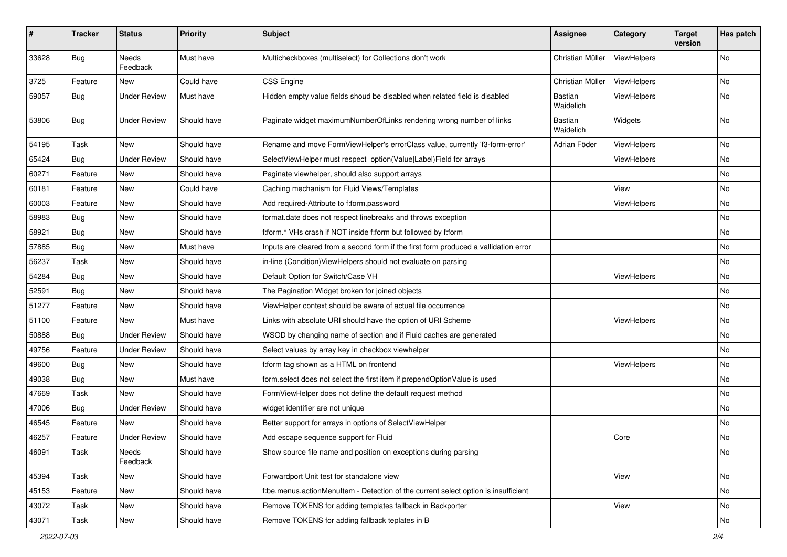| $\sharp$ | <b>Tracker</b> | <b>Status</b>            | <b>Priority</b> | <b>Subject</b>                                                                       | <b>Assignee</b>             | Category    | <b>Target</b><br>version | Has patch |
|----------|----------------|--------------------------|-----------------|--------------------------------------------------------------------------------------|-----------------------------|-------------|--------------------------|-----------|
| 33628    | Bug            | <b>Needs</b><br>Feedback | Must have       | Multicheckboxes (multiselect) for Collections don't work                             | Christian Müller            | ViewHelpers |                          | <b>No</b> |
| 3725     | Feature        | New                      | Could have      | <b>CSS Engine</b>                                                                    | Christian Müller            | ViewHelpers |                          | No        |
| 59057    | Bug            | <b>Under Review</b>      | Must have       | Hidden empty value fields shoud be disabled when related field is disabled           | <b>Bastian</b><br>Waidelich | ViewHelpers |                          | No        |
| 53806    | Bug            | <b>Under Review</b>      | Should have     | Paginate widget maximumNumberOfLinks rendering wrong number of links                 | <b>Bastian</b><br>Waidelich | Widgets     |                          | No        |
| 54195    | Task           | New                      | Should have     | Rename and move FormViewHelper's errorClass value, currently 'f3-form-error'         | Adrian Föder                | ViewHelpers |                          | No        |
| 65424    | Bug            | <b>Under Review</b>      | Should have     | SelectViewHelper must respect option(Value Label)Field for arrays                    |                             | ViewHelpers |                          | No        |
| 60271    | Feature        | New                      | Should have     | Paginate viewhelper, should also support arrays                                      |                             |             |                          | No        |
| 60181    | Feature        | New                      | Could have      | Caching mechanism for Fluid Views/Templates                                          |                             | View        |                          | No        |
| 60003    | Feature        | New                      | Should have     | Add required-Attribute to f:form.password                                            |                             | ViewHelpers |                          | No        |
| 58983    | Bug            | New                      | Should have     | format.date does not respect linebreaks and throws exception                         |                             |             |                          | No        |
| 58921    | Bug            | New                      | Should have     | f:form.* VHs crash if NOT inside f:form but followed by f:form                       |                             |             |                          | No        |
| 57885    | Bug            | New                      | Must have       | Inputs are cleared from a second form if the first form produced a vallidation error |                             |             |                          | No        |
| 56237    | Task           | New                      | Should have     | in-line (Condition) ViewHelpers should not evaluate on parsing                       |                             |             |                          | No        |
| 54284    | Bug            | New                      | Should have     | Default Option for Switch/Case VH                                                    |                             | ViewHelpers |                          | No        |
| 52591    | Bug            | New                      | Should have     | The Pagination Widget broken for joined objects                                      |                             |             |                          | No        |
| 51277    | Feature        | New                      | Should have     | ViewHelper context should be aware of actual file occurrence                         |                             |             |                          | No        |
| 51100    | Feature        | New                      | Must have       | Links with absolute URI should have the option of URI Scheme                         |                             | ViewHelpers |                          | No        |
| 50888    | Bug            | <b>Under Review</b>      | Should have     | WSOD by changing name of section and if Fluid caches are generated                   |                             |             |                          | No        |
| 49756    | Feature        | <b>Under Review</b>      | Should have     | Select values by array key in checkbox viewhelper                                    |                             |             |                          | No        |
| 49600    | Bug            | New                      | Should have     | f:form tag shown as a HTML on frontend                                               |                             | ViewHelpers |                          | No        |
| 49038    | Bug            | New                      | Must have       | form.select does not select the first item if prependOptionValue is used             |                             |             |                          | No        |
| 47669    | Task           | New                      | Should have     | FormViewHelper does not define the default request method                            |                             |             |                          | No        |
| 47006    | Bug            | <b>Under Review</b>      | Should have     | widget identifier are not unique                                                     |                             |             |                          | No        |
| 46545    | Feature        | <b>New</b>               | Should have     | Better support for arrays in options of SelectViewHelper                             |                             |             |                          | No        |
| 46257    | Feature        | <b>Under Review</b>      | Should have     | Add escape sequence support for Fluid                                                |                             | Core        |                          | No        |
| 46091    | Task           | Needs<br>Feedback        | Should have     | Show source file name and position on exceptions during parsing                      |                             |             |                          | No        |
| 45394    | Task           | New                      | Should have     | Forwardport Unit test for standalone view                                            |                             | View        |                          | No        |
| 45153    | Feature        | New                      | Should have     | f:be.menus.actionMenuItem - Detection of the current select option is insufficient   |                             |             |                          | No        |
| 43072    | Task           | New                      | Should have     | Remove TOKENS for adding templates fallback in Backporter                            |                             | View        |                          | No        |
| 43071    | Task           | New                      | Should have     | Remove TOKENS for adding fallback teplates in B                                      |                             |             |                          | No        |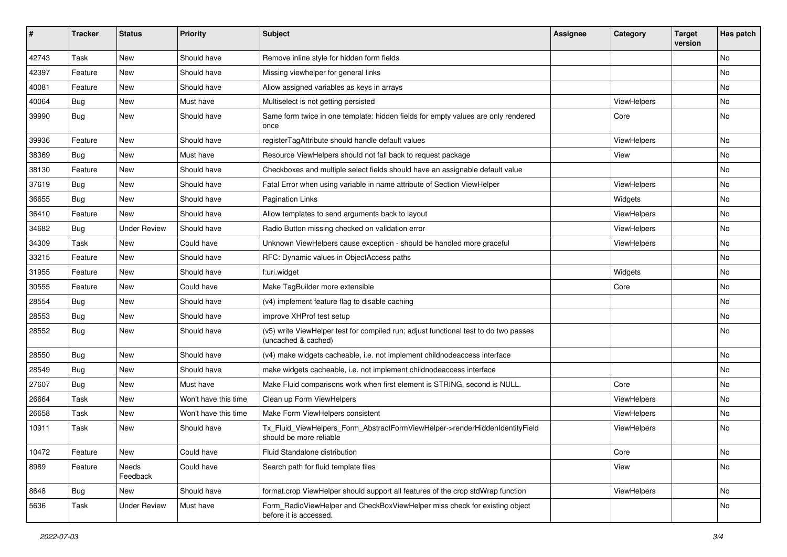| #     | <b>Tracker</b> | <b>Status</b>       | <b>Priority</b>      | Subject                                                                                                     | <b>Assignee</b> | Category    | <b>Target</b><br>version | Has patch |
|-------|----------------|---------------------|----------------------|-------------------------------------------------------------------------------------------------------------|-----------------|-------------|--------------------------|-----------|
| 42743 | Task           | New                 | Should have          | Remove inline style for hidden form fields                                                                  |                 |             |                          | <b>No</b> |
| 42397 | Feature        | New                 | Should have          | Missing viewhelper for general links                                                                        |                 |             |                          | No        |
| 40081 | Feature        | New                 | Should have          | Allow assigned variables as keys in arrays                                                                  |                 |             |                          | No        |
| 40064 | Bug            | New                 | Must have            | Multiselect is not getting persisted                                                                        |                 | ViewHelpers |                          | No        |
| 39990 | Bug            | New                 | Should have          | Same form twice in one template: hidden fields for empty values are only rendered<br>once                   |                 | Core        |                          | No        |
| 39936 | Feature        | New                 | Should have          | registerTagAttribute should handle default values                                                           |                 | ViewHelpers |                          | No        |
| 38369 | Bug            | New                 | Must have            | Resource ViewHelpers should not fall back to request package                                                |                 | View        |                          | No        |
| 38130 | Feature        | New                 | Should have          | Checkboxes and multiple select fields should have an assignable default value                               |                 |             |                          | No        |
| 37619 | Bug            | New                 | Should have          | Fatal Error when using variable in name attribute of Section ViewHelper                                     |                 | ViewHelpers |                          | No        |
| 36655 | Bug            | New                 | Should have          | <b>Pagination Links</b>                                                                                     |                 | Widgets     |                          | No        |
| 36410 | Feature        | New                 | Should have          | Allow templates to send arguments back to layout                                                            |                 | ViewHelpers |                          | No        |
| 34682 | Bug            | <b>Under Review</b> | Should have          | Radio Button missing checked on validation error                                                            |                 | ViewHelpers |                          | No        |
| 34309 | Task           | New                 | Could have           | Unknown ViewHelpers cause exception - should be handled more graceful                                       |                 | ViewHelpers |                          | No        |
| 33215 | Feature        | New                 | Should have          | RFC: Dynamic values in ObjectAccess paths                                                                   |                 |             |                          | No        |
| 31955 | Feature        | New                 | Should have          | f:uri.widget                                                                                                |                 | Widgets     |                          | No        |
| 30555 | Feature        | New                 | Could have           | Make TagBuilder more extensible                                                                             |                 | Core        |                          | No        |
| 28554 | Bug            | New                 | Should have          | (v4) implement feature flag to disable caching                                                              |                 |             |                          | No        |
| 28553 | Bug            | <b>New</b>          | Should have          | improve XHProf test setup                                                                                   |                 |             |                          | <b>No</b> |
| 28552 | Bug            | New                 | Should have          | (v5) write ViewHelper test for compiled run; adjust functional test to do two passes<br>(uncached & cached) |                 |             |                          | No        |
| 28550 | Bug            | New                 | Should have          | (v4) make widgets cacheable, i.e. not implement childnodeaccess interface                                   |                 |             |                          | No        |
| 28549 | Bug            | New                 | Should have          | make widgets cacheable, i.e. not implement childnodeaccess interface                                        |                 |             |                          | No        |
| 27607 | Bug            | New                 | Must have            | Make Fluid comparisons work when first element is STRING, second is NULL.                                   |                 | Core        |                          | No        |
| 26664 | Task           | New                 | Won't have this time | Clean up Form ViewHelpers                                                                                   |                 | ViewHelpers |                          | No        |
| 26658 | Task           | New                 | Won't have this time | Make Form ViewHelpers consistent                                                                            |                 | ViewHelpers |                          | No        |
| 10911 | Task           | New                 | Should have          | Tx_Fluid_ViewHelpers_Form_AbstractFormViewHelper->renderHiddenIdentityField<br>should be more reliable      |                 | ViewHelpers |                          | <b>No</b> |
| 10472 | Feature        | New                 | Could have           | Fluid Standalone distribution                                                                               |                 | Core        |                          | No        |
| 8989  | Feature        | Needs<br>Feedback   | Could have           | Search path for fluid template files                                                                        |                 | View        |                          | No        |
| 8648  | Bug            | New                 | Should have          | format.crop ViewHelper should support all features of the crop stdWrap function                             |                 | ViewHelpers |                          | No        |
| 5636  | Task           | <b>Under Review</b> | Must have            | Form_RadioViewHelper and CheckBoxViewHelper miss check for existing object<br>before it is accessed.        |                 |             |                          | No        |